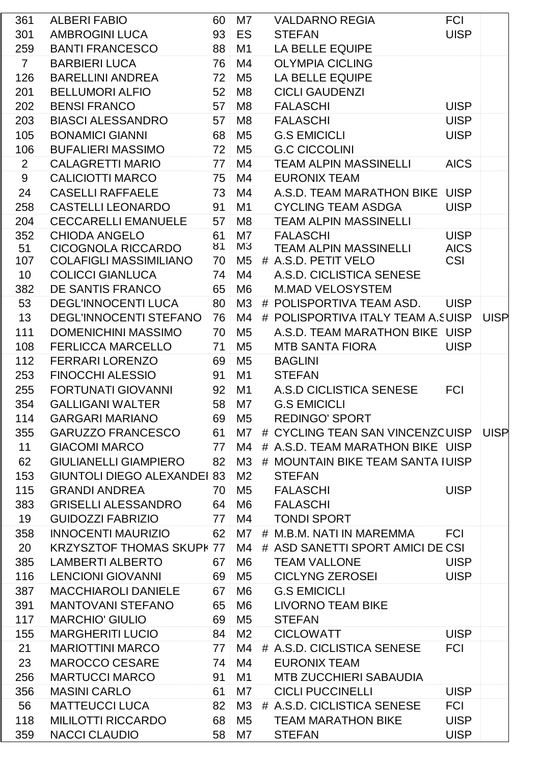| 361            | <b>ALBERI FABIO</b>              | 60              | M7             | <b>VALDARNO REGIA</b>                | <b>FCI</b>  |             |
|----------------|----------------------------------|-----------------|----------------|--------------------------------------|-------------|-------------|
| 301            | <b>AMBROGINI LUCA</b>            | 93              | ES             | <b>STEFAN</b>                        | <b>UISP</b> |             |
| 259            | <b>BANTI FRANCESCO</b>           | 88              | M1             | LA BELLE EQUIPE                      |             |             |
| $7\phantom{.}$ | <b>BARBIERI LUCA</b>             | 76              | M4             | <b>OLYMPIA CICLING</b>               |             |             |
| 126            | <b>BARELLINI ANDREA</b>          | 72              | M <sub>5</sub> | <b>LA BELLE EQUIPE</b>               |             |             |
| 201            | <b>BELLUMORI ALFIO</b>           | 52              | M <sub>8</sub> | <b>CICLI GAUDENZI</b>                |             |             |
| 202            | <b>BENSI FRANCO</b>              | 57              | M <sub>8</sub> | <b>FALASCHI</b>                      | <b>UISP</b> |             |
| 203            | <b>BIASCI ALESSANDRO</b>         | 57              | M <sub>8</sub> | <b>FALASCHI</b>                      | <b>UISP</b> |             |
| 105            | <b>BONAMICI GIANNI</b>           | 68              | M <sub>5</sub> | <b>G.S EMICICLI</b>                  | <b>UISP</b> |             |
| 106            | <b>BUFALIERI MASSIMO</b>         | 72              | M <sub>5</sub> | <b>G.C CICCOLINI</b>                 |             |             |
| $\overline{2}$ | <b>CALAGRETTI MARIO</b>          | 77              | M4             | <b>TEAM ALPIN MASSINELLI</b>         | <b>AICS</b> |             |
| 9              | <b>CALICIOTTI MARCO</b>          | 75              | M4             | <b>EURONIX TEAM</b>                  |             |             |
| 24             | <b>CASELLI RAFFAELE</b>          | 73              | M4             | A.S.D. TEAM MARATHON BIKE UISP       |             |             |
| 258            | <b>CASTELLI LEONARDO</b>         | 91              | M <sub>1</sub> | <b>CYCLING TEAM ASDGA</b>            | <b>UISP</b> |             |
| 204            | <b>CECCARELLI EMANUELE</b>       | 57              | M <sub>8</sub> | <b>TEAM ALPIN MASSINELLI</b>         |             |             |
| 352            | <b>CHIODA ANGELO</b>             | 61              | M7             | <b>FALASCHI</b>                      | <b>UISP</b> |             |
| 51             | <b>CICOGNOLA RICCARDO</b>        | 81              | M3             | <b>TEAM ALPIN MASSINELLI</b>         | <b>AICS</b> |             |
| 107            | <b>COLAFIGLI MASSIMILIANO</b>    | 70              | M <sub>5</sub> | # A.S.D. PETIT VELO                  | <b>CSI</b>  |             |
| 10             | <b>COLICCI GIANLUCA</b>          | 74              | M4             | A.S.D. CICLISTICA SENESE             |             |             |
| 382            | DE SANTIS FRANCO                 | 65              | M <sub>6</sub> | <b>M.MAD VELOSYSTEM</b>              |             |             |
| 53             | <b>DEGL'INNOCENTI LUCA</b>       | 80              | M <sub>3</sub> | # POLISPORTIVA TEAM ASD.             | <b>UISP</b> |             |
| 13             | <b>DEGL'INNOCENTI STEFANO</b>    | 76              | M4             | # POLISPORTIVA ITALY TEAM A.SUISP    |             | <b>UISP</b> |
| 111            | DOMENICHINI MASSIMO              | 70              | M <sub>5</sub> | A.S.D. TEAM MARATHON BIKE UISP       |             |             |
| 108            | <b>FERLICCA MARCELLO</b>         | 71              | M <sub>5</sub> | <b>MTB SANTA FIORA</b>               | <b>UISP</b> |             |
| 112            | <b>FERRARI LORENZO</b>           | 69              | M <sub>5</sub> | <b>BAGLINI</b>                       |             |             |
| 253            | <b>FINOCCHI ALESSIO</b>          | 91              | M <sub>1</sub> | <b>STEFAN</b>                        |             |             |
| 255            | <b>FORTUNATI GIOVANNI</b>        | 92              | M1             | A.S.D CICLISTICA SENESE              | <b>FCI</b>  |             |
| 354            | <b>GALLIGANI WALTER</b>          | 58              | M7             | <b>G.S EMICICLI</b>                  |             |             |
| 114            | <b>GARGARI MARIANO</b>           |                 | 69 M5          | <b>REDINGO' SPORT</b>                |             |             |
| 355            | <b>GARUZZO FRANCESCO</b>         | 61              | M7             | # CYCLING TEAN SAN VINCENZCUISP UISP |             |             |
| 11             | <b>GIACOMI MARCO</b>             |                 | 77 M4          | # A.S.D. TEAM MARATHON BIKE UISP     |             |             |
| 62             | <b>GIULIANELLI GIAMPIERO</b>     | 82              | M3             | # MOUNTAIN BIKE TEAM SANTA IUISP     |             |             |
| 153            | <b>GIUNTOLI DIEGO ALEXANDEI</b>  | 83              | M <sub>2</sub> | <b>STEFAN</b>                        |             |             |
| 115            | <b>GRANDI ANDREA</b>             | 70 <sup>1</sup> | M5             | <b>FALASCHI</b>                      | <b>UISP</b> |             |
| 383            | <b>GRISELLI ALESSANDRO</b>       |                 | 64 M6          | <b>FALASCHI</b>                      |             |             |
| 19             | <b>GUIDOZZI FABRIZIO</b>         | 77              | M4             | <b>TONDI SPORT</b>                   |             |             |
| 358            | <b>INNOCENTI MAURIZIO</b>        | 62              | M7             | # M.B.M. NATI IN MAREMMA             | <b>FCI</b>  |             |
| 20             | <b>KRZYSZTOF THOMAS SKUPK 77</b> |                 | M4             | # ASD SANETTI SPORT AMICI DE CSI     |             |             |
| 385            | <b>LAMBERTI ALBERTO</b>          | 67              | M <sub>6</sub> | <b>TEAM VALLONE</b>                  | <b>UISP</b> |             |
| 116            | <b>LENCIONI GIOVANNI</b>         | 69              | M <sub>5</sub> | <b>CICLYNG ZEROSEI</b>               | <b>UISP</b> |             |
| 387            | <b>MACCHIAROLI DANIELE</b>       | 67              | M6             | <b>G.S EMICICLI</b>                  |             |             |
| 391            | <b>MANTOVANI STEFANO</b>         | 65              | M <sub>6</sub> | LIVORNO TEAM BIKE                    |             |             |
| 117            | <b>MARCHIO' GIULIO</b>           | 69              | M5             | <b>STEFAN</b>                        |             |             |
| 155            | <b>MARGHERITI LUCIO</b>          | 84              | M <sub>2</sub> | CICLOWATT                            | <b>UISP</b> |             |
| 21             | <b>MARIOTTINI MARCO</b>          | 77 <sup>1</sup> | M4             | # A.S.D. CICLISTICA SENESE           | <b>FCI</b>  |             |
| 23             | <b>MAROCCO CESARE</b>            | 74              | M4             | <b>EURONIX TEAM</b>                  |             |             |
| 256            | <b>MARTUCCI MARCO</b>            | 91              | M <sub>1</sub> | <b>MTB ZUCCHIERI SABAUDIA</b>        |             |             |
| 356            | <b>MASINI CARLO</b>              | 61              | M7             | <b>CICLI PUCCINELLI</b>              | <b>UISP</b> |             |
| 56             | <b>MATTEUCCI LUCA</b>            | 82 <sup>°</sup> | M <sub>3</sub> | # A.S.D. CICLISTICA SENESE           | <b>FCI</b>  |             |
| 118            | <b>MILILOTTI RICCARDO</b>        | 68              | M <sub>5</sub> | <b>TEAM MARATHON BIKE</b>            | <b>UISP</b> |             |
| 359            | NACCI CLAUDIO                    |                 | 58 M7          | <b>STEFAN</b>                        | <b>UISP</b> |             |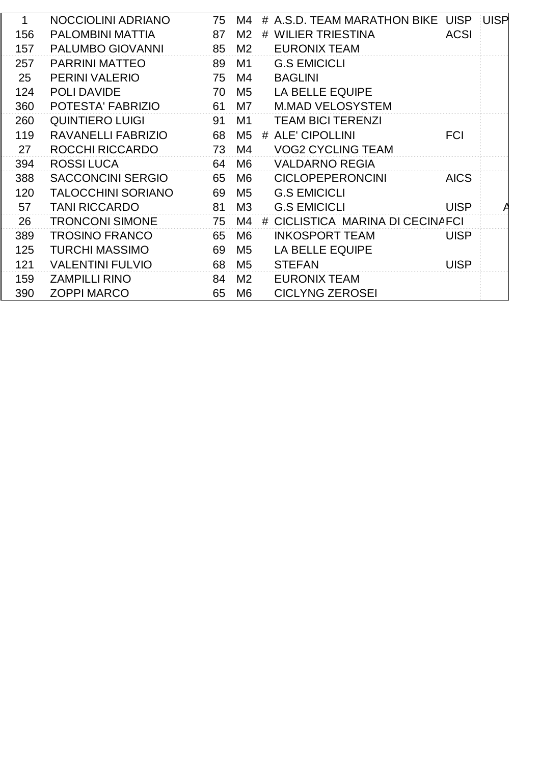| 1   | NOCCIOLINI ADRIANO        | 75 | M4             |   | # A.S.D. TEAM MARATHON BIKE    | <b>UISP</b> | <b>UISP</b> |
|-----|---------------------------|----|----------------|---|--------------------------------|-------------|-------------|
| 156 | <b>PALOMBINI MATTIA</b>   | 87 | M <sub>2</sub> |   | # WILIER TRIESTINA             | <b>ACSI</b> |             |
| 157 | PALUMBO GIOVANNI          | 85 | M <sub>2</sub> |   | <b>EURONIX TEAM</b>            |             |             |
| 257 | <b>PARRINI MATTEO</b>     | 89 | M <sub>1</sub> |   | <b>G.S EMICICLI</b>            |             |             |
| 25  | <b>PERINI VALERIO</b>     | 75 | M4             |   | <b>BAGLINI</b>                 |             |             |
| 124 | <b>POLI DAVIDE</b>        | 70 | M <sub>5</sub> |   | <b>LA BELLE EQUIPE</b>         |             |             |
| 360 | POTESTA' FABRIZIO         | 61 | M <sub>7</sub> |   | <b>M.MAD VELOSYSTEM</b>        |             |             |
| 260 | <b>QUINTIERO LUIGI</b>    | 91 | M1             |   | <b>TEAM BICI TERENZI</b>       |             |             |
| 119 | <b>RAVANELLI FABRIZIO</b> | 68 | M <sub>5</sub> |   | # ALE' CIPOLLINI               | <b>FCI</b>  |             |
| 27  | ROCCHI RICCARDO           | 73 | M4             |   | <b>VOG2 CYCLING TEAM</b>       |             |             |
| 394 | <b>ROSSILUCA</b>          | 64 | M <sub>6</sub> |   | <b>VALDARNO REGIA</b>          |             |             |
| 388 | <b>SACCONCINI SERGIO</b>  | 65 | M <sub>6</sub> |   | <b>CICLOPEPERONCINI</b>        | <b>AICS</b> |             |
| 120 | <b>TALOCCHINI SORIANO</b> | 69 | M <sub>5</sub> |   | <b>G.S EMICICLI</b>            |             |             |
| 57  | <b>TANI RICCARDO</b>      | 81 | M3             |   | <b>G.S EMICICLI</b>            | <b>UISP</b> |             |
| 26  | <b>TRONCONI SIMONE</b>    | 75 | M4             | # | CICLISTICA MARINA DI CECINAFCI |             |             |
| 389 | <b>TROSINO FRANCO</b>     | 65 | M <sub>6</sub> |   | <b>INKOSPORT TEAM</b>          | <b>UISP</b> |             |
| 125 | <b>TURCHI MASSIMO</b>     | 69 | M <sub>5</sub> |   | <b>LA BELLE EQUIPE</b>         |             |             |
| 121 | <b>VALENTINI FULVIO</b>   | 68 | M <sub>5</sub> |   | <b>STEFAN</b>                  | <b>UISP</b> |             |
| 159 | <b>ZAMPILLI RINO</b>      | 84 | M <sub>2</sub> |   | <b>EURONIX TEAM</b>            |             |             |
| 390 | <b>ZOPPI MARCO</b>        | 65 | M <sub>6</sub> |   | <b>CICLYNG ZEROSEI</b>         |             |             |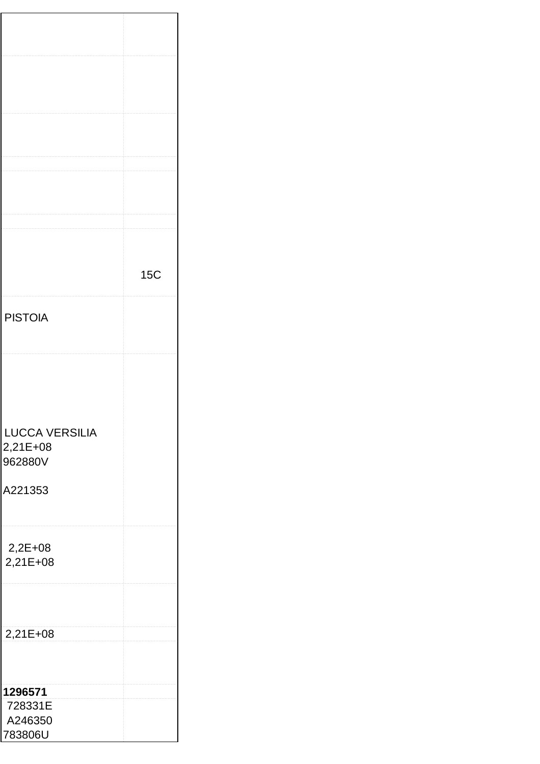|                       |  | <b>15C</b> |
|-----------------------|--|------------|
|                       |  |            |
|                       |  |            |
| <b>PISTOIA</b>        |  |            |
|                       |  |            |
|                       |  |            |
|                       |  |            |
|                       |  |            |
|                       |  |            |
|                       |  |            |
|                       |  |            |
|                       |  |            |
|                       |  |            |
| <b>LUCCA VERSILIA</b> |  |            |
|                       |  |            |
| 2,21E+08              |  |            |
| 962880V               |  |            |
|                       |  |            |
| A221353               |  |            |
|                       |  |            |
|                       |  |            |
|                       |  |            |
|                       |  |            |
| $2,2E+08$             |  |            |
|                       |  |            |
| 2,21E+08              |  |            |
|                       |  |            |
|                       |  |            |
|                       |  |            |
|                       |  |            |
|                       |  |            |
| 2,21E+08              |  |            |
|                       |  |            |
|                       |  |            |
|                       |  |            |
|                       |  |            |
| 1296571               |  |            |
| 728331E               |  |            |
|                       |  |            |
| A246350               |  |            |
| 783806U               |  |            |